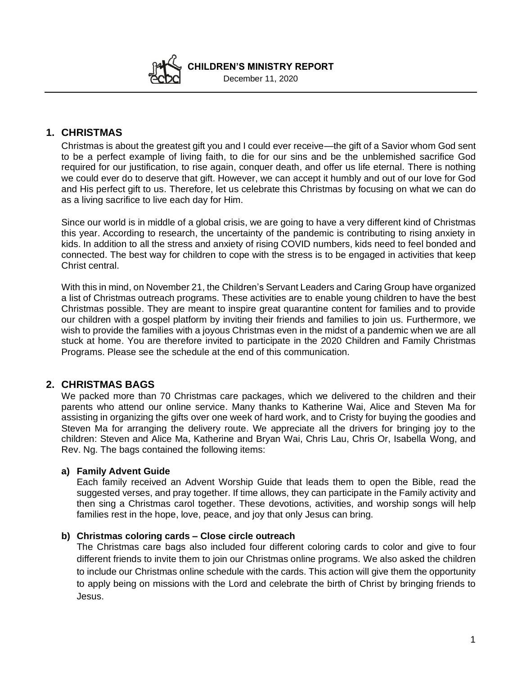**CHILDREN'S MINISTRY REPORT**  December 11, 2020

# **1. CHRISTMAS**

Christmas is about the greatest gift you and I could ever receive—the gift of a Savior whom God sent to be a perfect example of living faith, to die for our sins and be the unblemished sacrifice God required for our justification, to rise again, conquer death, and offer us life eternal. There is nothing we could ever do to deserve that gift. However, we can accept it humbly and out of our love for God and His perfect gift to us. Therefore, let us celebrate this Christmas by focusing on what we can do as a living sacrifice to live each day for Him.

Since our world is in middle of a global crisis, we are going to have a very different kind of Christmas this year. According to research, the uncertainty of the pandemic is contributing to rising anxiety in kids. In addition to all the stress and anxiety of rising COVID numbers, kids need to feel bonded and connected. The best way for children to cope with the stress is to be engaged in activities that keep Christ central.

With this in mind, on November 21, the Children's Servant Leaders and Caring Group have organized a list of Christmas outreach programs. These activities are to enable young children to have the best Christmas possible. They are meant to inspire great quarantine content for families and to provide our children with a gospel platform by inviting their friends and families to join us. Furthermore, we wish to provide the families with a joyous Christmas even in the midst of a pandemic when we are all stuck at home. You are therefore invited to participate in the 2020 Children and Family Christmas Programs. Please see the schedule at the end of this communication.

## **2. CHRISTMAS BAGS**

We packed more than 70 Christmas care packages, which we delivered to the children and their parents who attend our online service. Many thanks to Katherine Wai, Alice and Steven Ma for assisting in organizing the gifts over one week of hard work, and to Cristy for buying the goodies and Steven Ma for arranging the delivery route. We appreciate all the drivers for bringing joy to the children: Steven and Alice Ma, Katherine and Bryan Wai, Chris Lau, Chris Or, Isabella Wong, and Rev. Ng. The bags contained the following items:

### **a) Family Advent Guide**

Each family received an Advent Worship Guide that leads them to open the Bible, read the suggested verses, and pray together. If time allows, they can participate in the Family activity and then sing a Christmas carol together. These devotions, activities, and worship songs will help families rest in the hope, love, peace, and joy that only Jesus can bring.

### **b) Christmas coloring cards – Close circle outreach**

The Christmas care bags also included four different coloring cards to color and give to four different friends to invite them to join our Christmas online programs. We also asked the children to include our Christmas online schedule with the cards. This action will give them the opportunity to apply being on missions with the Lord and celebrate the birth of Christ by bringing friends to Jesus.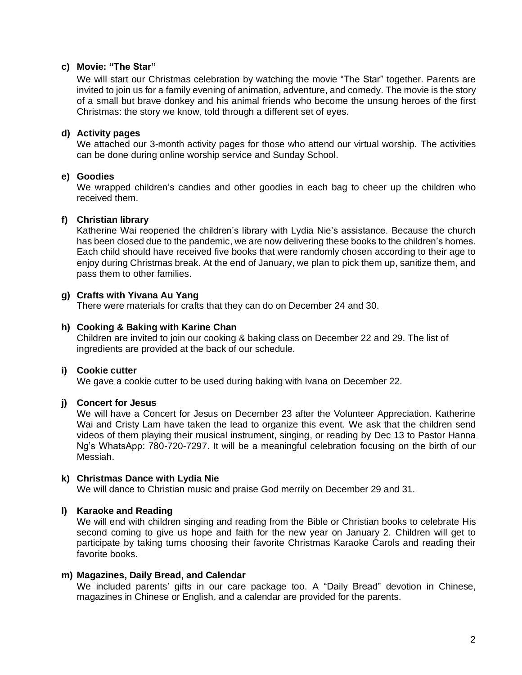#### **c) Movie: "The Star"**

We will start our Christmas celebration by watching the movie "The Star" together. Parents are invited to join us for a family evening of animation, adventure, and comedy. The movie is the story of a small but brave donkey and his animal friends who become the unsung heroes of the first Christmas: the story we know, told through a different set of eyes.

### **d) Activity pages**

We attached our 3-month activity pages for those who attend our virtual worship. The activities can be done during online worship service and Sunday School.

### **e) Goodies**

We wrapped children's candies and other goodies in each bag to cheer up the children who received them.

### **f) Christian library**

Katherine Wai reopened the children's library with Lydia Nie's assistance. Because the church has been closed due to the pandemic, we are now delivering these books to the children's homes. Each child should have received five books that were randomly chosen according to their age to enjoy during Christmas break. At the end of January, we plan to pick them up, sanitize them, and pass them to other families.

### **g) Crafts with Yivana Au Yang**

There were materials for crafts that they can do on December 24 and 30.

#### **h) Cooking & Baking with Karine Chan**

Children are invited to join our cooking & baking class on December 22 and 29. The list of ingredients are provided at the back of our schedule.

#### **i) Cookie cutter**

We gave a cookie cutter to be used during baking with Ivana on December 22.

### **j) Concert for Jesus**

We will have a Concert for Jesus on December 23 after the Volunteer Appreciation. Katherine Wai and Cristy Lam have taken the lead to organize this event. We ask that the children send videos of them playing their musical instrument, singing, or reading by Dec 13 to Pastor Hanna Ng's WhatsApp: 780-720-7297. It will be a meaningful celebration focusing on the birth of our Messiah.

#### **k) Christmas Dance with Lydia Nie**

We will dance to Christian music and praise God merrily on December 29 and 31.

#### **l) Karaoke and Reading**

We will end with children singing and reading from the Bible or Christian books to celebrate His second coming to give us hope and faith for the new year on January 2. Children will get to participate by taking turns choosing their favorite Christmas Karaoke Carols and reading their favorite books.

#### **m) Magazines, Daily Bread, and Calendar**

We included parents' gifts in our care package too. A "Daily Bread" devotion in Chinese, magazines in Chinese or English, and a calendar are provided for the parents.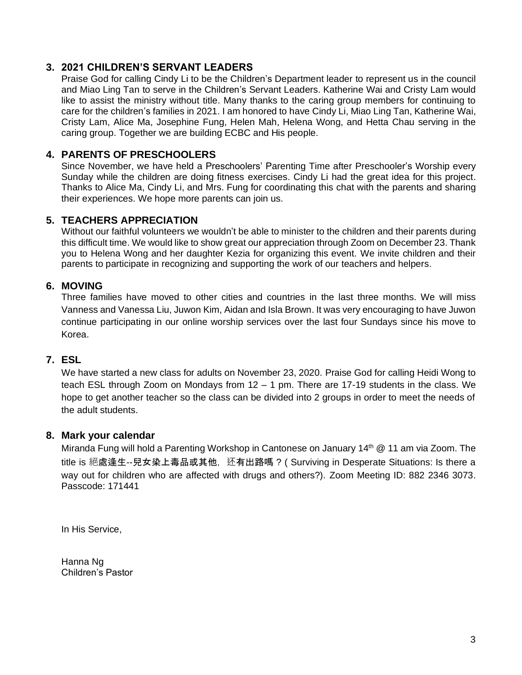# **3. 2021 CHILDREN'S SERVANT LEADERS**

Praise God for calling Cindy Li to be the Children's Department leader to represent us in the council and Miao Ling Tan to serve in the Children's Servant Leaders. Katherine Wai and Cristy Lam would like to assist the ministry without title. Many thanks to the caring group members for continuing to care for the children's families in 2021. I am honored to have Cindy Li, Miao Ling Tan, Katherine Wai, Cristy Lam, Alice Ma, Josephine Fung, Helen Mah, Helena Wong, and Hetta Chau serving in the caring group. Together we are building ECBC and His people.

# **4. PARENTS OF PRESCHOOLERS**

Since November, we have held a Preschoolers' Parenting Time after Preschooler's Worship every Sunday while the children are doing fitness exercises. Cindy Li had the great idea for this project. Thanks to Alice Ma, Cindy Li, and Mrs. Fung for coordinating this chat with the parents and sharing their experiences. We hope more parents can join us.

## **5. TEACHERS APPRECIATION**

Without our faithful volunteers we wouldn't be able to minister to the children and their parents during this difficult time. We would like to show great our appreciation through Zoom on December 23. Thank you to Helena Wong and her daughter Kezia for organizing this event. We invite children and their parents to participate in recognizing and supporting the work of our teachers and helpers.

# **6. MOVING**

Three families have moved to other cities and countries in the last three months. We will miss Vanness and Vanessa Liu, Juwon Kim, Aidan and Isla Brown. It was very encouraging to have Juwon continue participating in our online worship services over the last four Sundays since his move to Korea.

# **7. ESL**

We have started a new class for adults on November 23, 2020. Praise God for calling Heidi Wong to teach ESL through Zoom on Mondays from 12 – 1 pm. There are 17-19 students in the class. We hope to get another teacher so the class can be divided into 2 groups in order to meet the needs of the adult students.

## **8. Mark your calendar**

Miranda Fung will hold a Parenting Workshop in Cantonese on January 14<sup>th</sup>  $@$  11 am via Zoom. The title is 絕處逢生--兒女染上毒品或其他, 还有出路嗎 ? ( Surviving in Desperate Situations: Is there a way out for children who are affected with drugs and others?). Zoom Meeting ID: 882 2346 3073. Passcode: 171441

In His Service,

Hanna Ng Children's Pastor